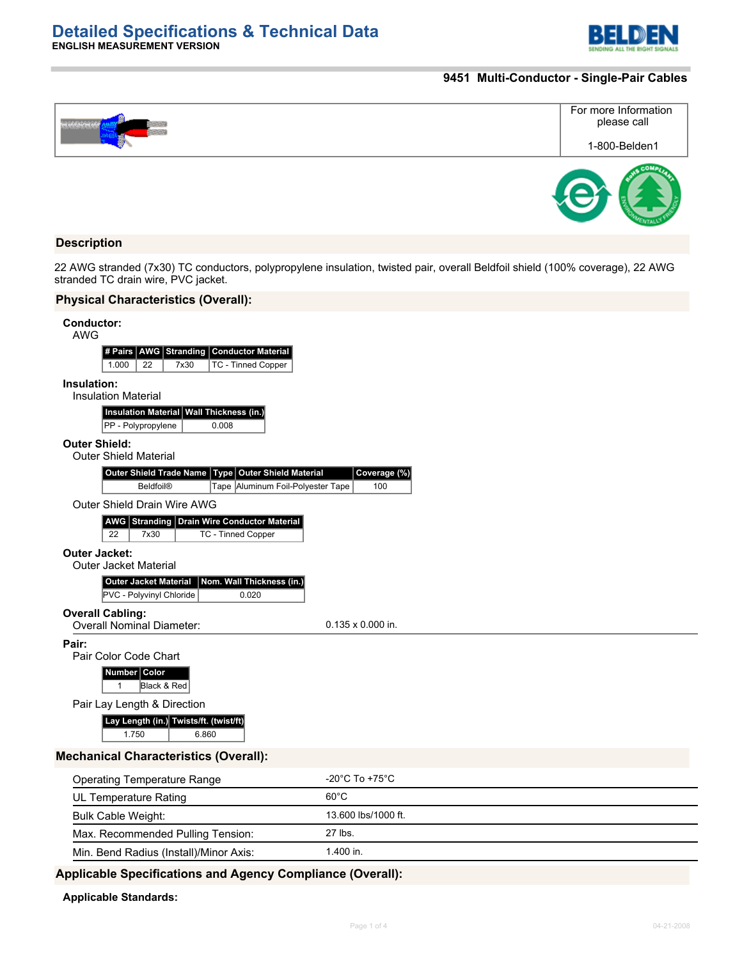

### **9451 Multi-Conductor - Single-Pair Cables**

|  | For more Information<br>please call |
|--|-------------------------------------|
|  | 1-800-Belden1                       |
|  |                                     |

### **Description**

22 AWG stranded (7x30) TC conductors, polypropylene insulation, twisted pair, overall Beldfoil shield (100% coverage), 22 AWG stranded TC drain wire, PVC jacket.

# **Physical Characteristics (Overall):**

**ENGLISH MEASUREMENT VERSION**

| <b>Conductor:</b><br><b>AWG</b>                                                                                          |                                      |
|--------------------------------------------------------------------------------------------------------------------------|--------------------------------------|
| AWG Stranding Conductor Material<br># Pairs<br>7x30<br>TC - Tinned Copper<br>1.000<br>22                                 |                                      |
| Insulation:<br><b>Insulation Material</b>                                                                                |                                      |
| <b>Insulation Material</b><br><b>Wall Thickness (in.)</b><br>PP - Polypropylene<br>0.008                                 |                                      |
| <b>Outer Shield:</b><br><b>Outer Shield Material</b>                                                                     |                                      |
| <b>Outer Shield Material</b><br>Outer Shield Trade Name<br>Type<br><b>Beldfoil®</b><br>Tape Aluminum Foil-Polyester Tape | Coverage (%)<br>100                  |
| Outer Shield Drain Wire AWG<br>Stranding Drain Wire Conductor Material<br>AWG<br>22<br>7x30<br><b>TC - Tinned Copper</b> |                                      |
| <b>Outer Jacket:</b><br><b>Outer Jacket Material</b>                                                                     |                                      |
| <b>Outer Jacket Material</b><br>Nom. Wall Thickness (in.)<br>PVC - Polyvinyl Chloride<br>0.020                           |                                      |
| <b>Overall Cabling:</b><br><b>Overall Nominal Diameter:</b>                                                              | $0.135 \times 0.000$ in.             |
| Pair:<br>Pair Color Code Chart                                                                                           |                                      |
| Number Color<br>Black & Red<br>1                                                                                         |                                      |
| Pair Lay Length & Direction                                                                                              |                                      |
| Lay Length (in.) Twists/ft. (twist/ft)<br>1.750<br>6.860                                                                 |                                      |
| <b>Mechanical Characteristics (Overall):</b>                                                                             |                                      |
| <b>Operating Temperature Range</b>                                                                                       | -20 $^{\circ}$ C To +75 $^{\circ}$ C |
| <b>UL Temperature Rating</b>                                                                                             | $60^{\circ}$ C                       |
| <b>Bulk Cable Weight:</b>                                                                                                | 13.600 lbs/1000 ft.                  |
| Max. Recommended Pulling Tension:                                                                                        | 27 lbs.                              |
| Min. Bend Radius (Install)/Minor Axis:                                                                                   | 1.400 in.                            |

# **Applicable Specifications and Agency Compliance (Overall):**

#### **Applicable Standards:**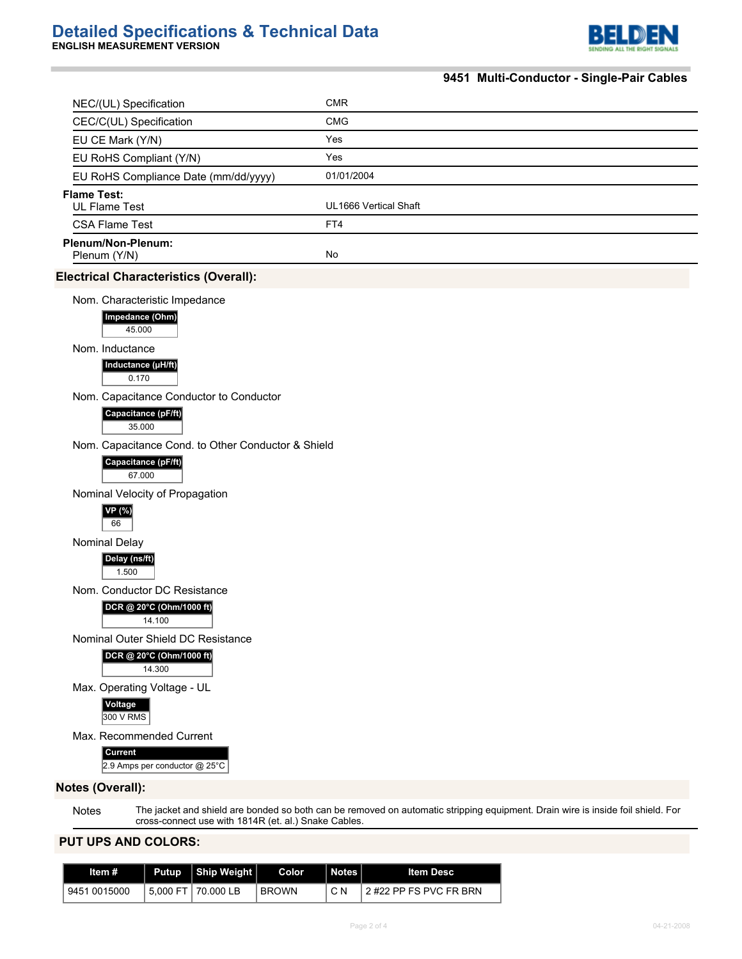

# **9451 Multi-Conductor - Single-Pair Cables**

| NEC/(UL) Specification                                                              | <b>CMR</b>            |
|-------------------------------------------------------------------------------------|-----------------------|
| CEC/C(UL) Specification                                                             | <b>CMG</b>            |
| EU CE Mark (Y/N)                                                                    | Yes                   |
| EU RoHS Compliant (Y/N)                                                             | Yes                   |
| EU RoHS Compliance Date (mm/dd/yyyy)                                                | 01/01/2004            |
| <b>Flame Test:</b><br><b>UL Flame Test</b>                                          | UL1666 Vertical Shaft |
| <b>CSA Flame Test</b>                                                               | FT4                   |
| Plenum/Non-Plenum:<br>Plenum (Y/N)                                                  | No                    |
| <b>Electrical Characteristics (Overall):</b>                                        |                       |
| Nom. Characteristic Impedance<br>Impedance (Ohm)<br>45.000                          |                       |
| Nom. Inductance<br>Inductance (µH/ft)<br>0.170                                      |                       |
| Nom. Capacitance Conductor to Conductor<br>Capacitance (pF/ft)<br>35.000            |                       |
| Nom. Capacitance Cond. to Other Conductor & Shield<br>Capacitance (pF/ft)<br>67.000 |                       |
| Nominal Velocity of Propagation<br>VP (%)<br>66                                     |                       |
| Nominal Delay<br>Delay (ns/ft)<br>1.500                                             |                       |
| Nom. Conductor DC Resistance<br>DCR @ 20°C (Ohm/1000 ft)<br>14.100                  |                       |
| Nominal Outer Shield DC Resistance<br>DCR @ 20°C (Ohm/1000 ft)<br>14.300            |                       |
| Max. Operating Voltage - UL<br>Voltage<br>300 V RMS                                 |                       |
| Max. Recommended Current<br>Current<br>2.9 Amps per conductor @ 25°C                |                       |
| <b>Notes (Overall):</b>                                                             |                       |
|                                                                                     |                       |

Notes The jacket and shield are bonded so both can be removed on automatic stripping equipment. Drain wire is inside foil shield. For cross-connect use with 1814R (et. al.) Snake Cables.

# **PUT UPS AND COLORS:**

| Item #       | Putup   Ship Weight | Color.       | Notes | ltem Desc                |
|--------------|---------------------|--------------|-------|--------------------------|
| 9451 0015000 | 5.000 FT 70.000 LB  | <b>BROWN</b> | C N   | l 2 #22 PP FS PVC FR BRN |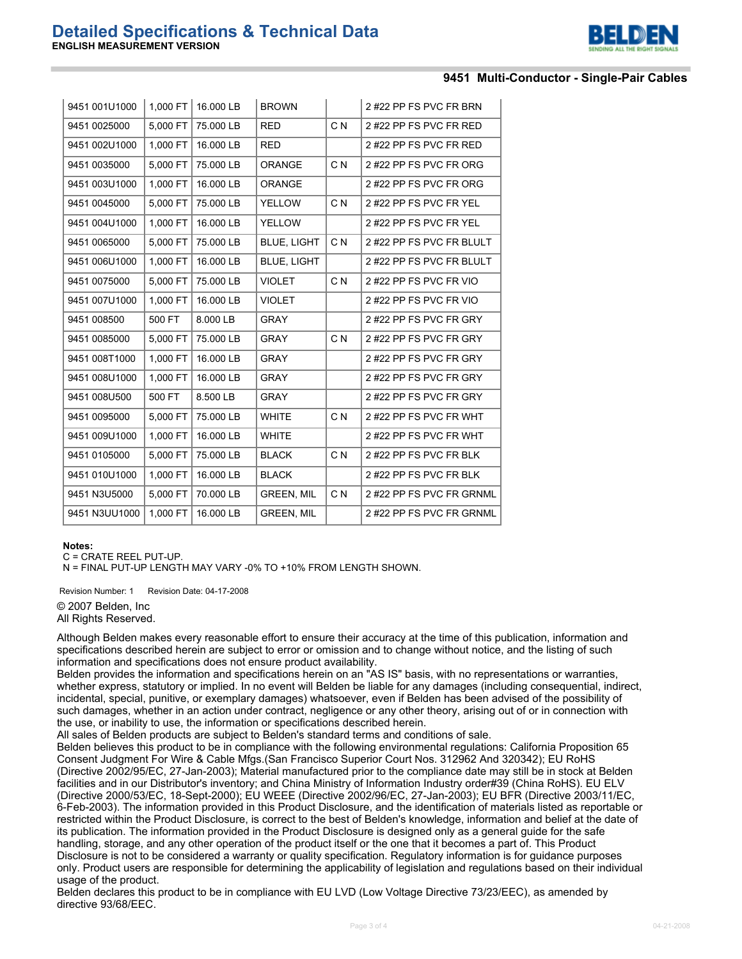

#### **9451 Multi-Conductor - Single-Pair Cables**

| 9451 001U1000 | 1,000 FT | 16.000 LB | <b>BROWN</b>       |                | 2#22 PP FS PVC FR BRN    |
|---------------|----------|-----------|--------------------|----------------|--------------------------|
| 9451 0025000  | 5,000 FT | 75.000 LB | <b>RED</b>         | C <sub>N</sub> | 2#22 PP FS PVC FR RED    |
| 9451 002U1000 | 1,000 FT | 16.000 LB | <b>RED</b>         |                | 2 #22 PP FS PVC FR RED   |
| 9451 0035000  | 5,000 FT | 75.000 LB | ORANGE             | C <sub>N</sub> | 2#22 PP FS PVC FR ORG    |
| 9451 003U1000 | 1,000 FT | 16.000 LB | <b>ORANGE</b>      |                | 2 #22 PP FS PVC FR ORG   |
| 9451 0045000  | 5,000 FT | 75.000 LB | <b>YELLOW</b>      | C N            | 2 #22 PP FS PVC FR YEL   |
| 9451 004U1000 | 1.000 FT | 16.000 LB | <b>YELLOW</b>      |                | 2 #22 PP FS PVC FR YEL   |
| 9451 0065000  | 5,000 FT | 75.000 LB | <b>BLUE, LIGHT</b> | C N            | 2 #22 PP FS PVC FR BLULT |
| 9451 006U1000 | 1,000 FT | 16.000 LB | <b>BLUE, LIGHT</b> |                | 2#22 PP FS PVC FR BLULT  |
| 9451 0075000  | 5,000 FT | 75.000 LB | <b>VIOLET</b>      | C N            | 2 #22 PP FS PVC FR VIO   |
| 9451 007U1000 | 1,000 FT | 16.000 LB | <b>VIOLET</b>      |                | 2#22 PP FS PVC FR VIO    |
| 9451 008500   | 500 FT   | 8.000 LB  | <b>GRAY</b>        |                | 2#22 PP FS PVC FR GRY    |
| 9451 0085000  | 5,000 FT | 75.000 LB | <b>GRAY</b>        | C N            | 2#22 PP FS PVC FR GRY    |
| 9451 008T1000 | 1,000 FT | 16.000 LB | <b>GRAY</b>        |                | 2#22 PP FS PVC FR GRY    |
| 9451 008U1000 | 1,000 FT | 16.000 LB | <b>GRAY</b>        |                | 2#22 PP FS PVC FR GRY    |
| 9451 008U500  | 500 FT   | 8.500 LB  | <b>GRAY</b>        |                | 2#22 PP FS PVC FR GRY    |
| 9451 0095000  | 5,000 FT | 75.000 LB | <b>WHITE</b>       | C N            | 2 #22 PP FS PVC FR WHT   |
| 9451 009U1000 | 1,000 FT | 16.000 LB | <b>WHITE</b>       |                | 2 #22 PP FS PVC FR WHT   |
| 9451 0105000  | 5,000 FT | 75.000 LB | <b>BLACK</b>       | C <sub>N</sub> | 2 #22 PP FS PVC FR BLK   |
| 9451 010U1000 | 1,000 FT | 16.000 LB | <b>BLACK</b>       |                | 2 #22 PP FS PVC FR BLK   |
| 9451 N3U5000  | 5,000 FT | 70.000 LB | <b>GREEN, MIL</b>  | C <sub>N</sub> | 2#22 PP FS PVC FR GRNML  |
| 9451 N3UU1000 | 1,000 FT | 16.000 LB | GREEN, MIL         |                | 2#22 PP FS PVC FR GRNML  |

#### **Notes:**

C = CRATE REEL PUT-UP.

N = FINAL PUT-UP LENGTH MAY VARY -0% TO +10% FROM LENGTH SHOWN.

Revision Number: 1 Revision Date: 04-17-2008 © 2007 Belden, Inc All Rights Reserved.

Although Belden makes every reasonable effort to ensure their accuracy at the time of this publication, information and specifications described herein are subject to error or omission and to change without notice, and the listing of such information and specifications does not ensure product availability.

Belden provides the information and specifications herein on an "AS IS" basis, with no representations or warranties, whether express, statutory or implied. In no event will Belden be liable for any damages (including consequential, indirect, incidental, special, punitive, or exemplary damages) whatsoever, even if Belden has been advised of the possibility of such damages, whether in an action under contract, negligence or any other theory, arising out of or in connection with the use, or inability to use, the information or specifications described herein.

All sales of Belden products are subject to Belden's standard terms and conditions of sale.

Belden believes this product to be in compliance with the following environmental regulations: California Proposition 65 Consent Judgment For Wire & Cable Mfgs.(San Francisco Superior Court Nos. 312962 And 320342); EU RoHS (Directive 2002/95/EC, 27-Jan-2003); Material manufactured prior to the compliance date may still be in stock at Belden facilities and in our Distributor's inventory; and China Ministry of Information Industry order#39 (China RoHS). EU ELV (Directive 2000/53/EC, 18-Sept-2000); EU WEEE (Directive 2002/96/EC, 27-Jan-2003); EU BFR (Directive 2003/11/EC, 6-Feb-2003). The information provided in this Product Disclosure, and the identification of materials listed as reportable or restricted within the Product Disclosure, is correct to the best of Belden's knowledge, information and belief at the date of its publication. The information provided in the Product Disclosure is designed only as a general guide for the safe handling, storage, and any other operation of the product itself or the one that it becomes a part of. This Product Disclosure is not to be considered a warranty or quality specification. Regulatory information is for guidance purposes only. Product users are responsible for determining the applicability of legislation and regulations based on their individual usage of the product.

Belden declares this product to be in compliance with EU LVD (Low Voltage Directive 73/23/EEC), as amended by directive 93/68/EEC.